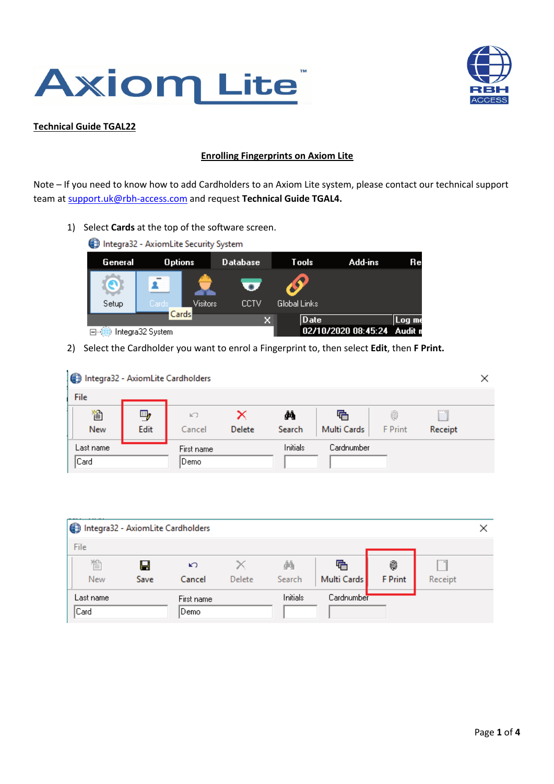



## **Technical Guide TGAL22**

## **Enrolling Fingerprints on Axiom Lite**

Note – If you need to know how to add Cardholders to an Axiom Lite system, please contact our technical support team at support.uk@rbh-access.com and request **Technical Guide TGAL4.**

1) Select **Cards** at the top of the software screen.



2) Select the Cardholder you want to enrol a Fingerprint to, then select **Edit**, then **F Print.**

| Integra32 - AxiomLite Cardholders |            |                    |             |              |                  |                     |                     | × |
|-----------------------------------|------------|--------------------|-------------|--------------|------------------|---------------------|---------------------|---|
| File                              |            |                    |             |              |                  |                     |                     |   |
| 徾<br>New                          | 9,<br>Edit | KO.<br>Cancel      | ×<br>Delete | фħ<br>Search | 唔<br>Multi Cards | 6<br><b>F</b> Print | rma<br>E<br>Receipt |   |
| Last name<br>Card                 |            | First name<br>Demo |             | Initials     | Cardnumber       |                     |                     |   |

|            | Integra32 - AxiomLite Cardholders |            |        |          |             |                |         |  |
|------------|-----------------------------------|------------|--------|----------|-------------|----------------|---------|--|
| File       |                                   |            |        |          |             |                |         |  |
| 徾          | Н                                 | K)         |        | άħ       | 店           | 6              |         |  |
| <b>New</b> | Save                              | Cancel     | Delete | Search   | Multi Cards | <b>F</b> Print | Receipt |  |
| Last name  |                                   | First name |        | Initials | Cardnumber  |                |         |  |
| Card       |                                   | Demo.      |        |          |             |                |         |  |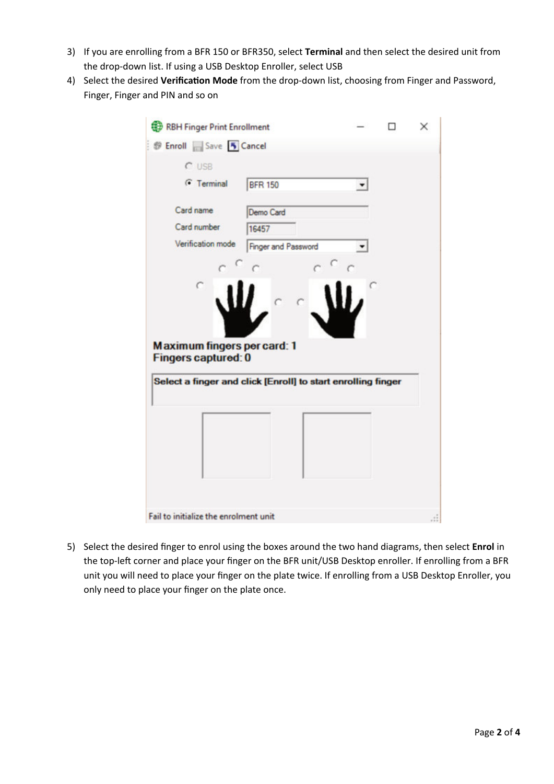- 3) If you are enrolling from a BFR 150 or BFR350, select **Terminal** and then select the desired unit from the drop-down list. If using a USB Desktop Enroller, select USB
- 4) Select the desired **Verification Mode** from the drop-down list, choosing from Finger and Password, Finger, Finger and PIN and so on

| <b>Save 5 Cancel</b><br>$C$ USB                                  |                                                              |  |  |
|------------------------------------------------------------------|--------------------------------------------------------------|--|--|
| G Terminal                                                       | <b>BFR 150</b>                                               |  |  |
| Card name                                                        | Demo Card                                                    |  |  |
| Card number                                                      | 16457                                                        |  |  |
| Verification mode                                                | <b>Finger and Password</b>                                   |  |  |
|                                                                  |                                                              |  |  |
|                                                                  |                                                              |  |  |
| <b>Maximum fingers per card: 1</b><br><b>Fingers captured: 0</b> |                                                              |  |  |
|                                                                  | Select a finger and click [Enroll] to start enrolling finger |  |  |
|                                                                  |                                                              |  |  |

5) Select the desired finger to enrol using the boxes around the two hand diagrams, then select **Enrol** in the top-left corner and place your finger on the BFR unit/USB Desktop enroller. If enrolling from a BFR unit you will need to place your finger on the plate twice. If enrolling from a USB Desktop Enroller, you only need to place your finger on the plate once.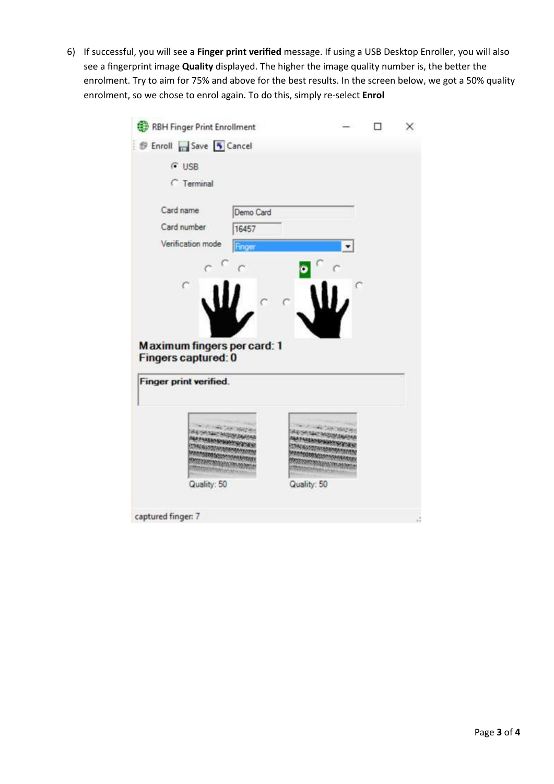6) If successful, you will see a **Finger print verified** message. If using a USB Desktop Enroller, you will also see a fingerprint image **Quality** displayed. The higher the image quality number is, the better the enrolment. Try to aim for 75% and above for the best results. In the screen below, we got a 50% quality enrolment, so we chose to enrol again. To do this, simply re-select **Enrol**

| RBH Finger Print Enrollment        |             | × |
|------------------------------------|-------------|---|
| <b>Enroll</b> Save 5 Cancel        |             |   |
| $C$ USB                            |             |   |
| <b>C</b> Terminal                  |             |   |
| Card name<br>Demo Card             |             |   |
| Card number<br>16457               |             |   |
| Verification mode<br>Finger        |             |   |
|                                    |             |   |
| $\hat{C}$                          |             |   |
|                                    |             |   |
|                                    |             |   |
|                                    |             |   |
|                                    |             |   |
| <b>Maximum fingers per card: 1</b> |             |   |
| <b>Fingers captured: 0</b>         |             |   |
|                                    |             |   |
| <b>Finger print verified.</b>      |             |   |
|                                    |             |   |
|                                    |             |   |
|                                    |             |   |
|                                    |             |   |
|                                    |             |   |
| Quality: 50                        | Quality: 50 |   |
| captured finger: 7                 |             |   |